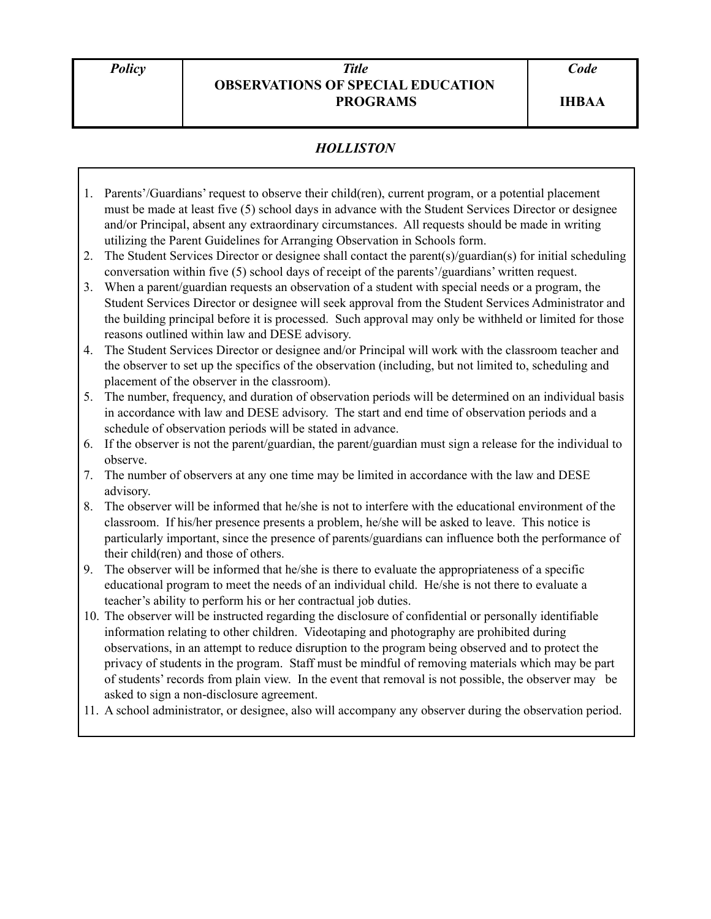## *Policy Title* **OBSERVATIONS OF SPECIAL EDUCATION PROGRAMS**

## *HOLLISTON*

- 1. Parents'/Guardians' request to observe their child(ren), current program, or a potential placement must be made at least five (5) school days in advance with the Student Services Director or designee and/or Principal, absent any extraordinary circumstances. All requests should be made in writing utilizing the Parent Guidelines for Arranging Observation in Schools form.
- 2. The Student Services Director or designee shall contact the parent(s)/guardian(s) for initial scheduling conversation within five (5) school days of receipt of the parents'/guardians' written request.
- 3. When a parent/guardian requests an observation of a student with special needs or a program, the Student Services Director or designee will seek approval from the Student Services Administrator and the building principal before it is processed. Such approval may only be withheld or limited for those reasons outlined within law and DESE advisory.
- 4. The Student Services Director or designee and/or Principal will work with the classroom teacher and the observer to set up the specifics of the observation (including, but not limited to, scheduling and placement of the observer in the classroom).
- 5. The number, frequency, and duration of observation periods will be determined on an individual basis in accordance with law and DESE advisory. The start and end time of observation periods and a schedule of observation periods will be stated in advance.
- 6. If the observer is not the parent/guardian, the parent/guardian must sign a release for the individual to observe.
- 7. The number of observers at any one time may be limited in accordance with the law and DESE advisory.
- 8. The observer will be informed that he/she is not to interfere with the educational environment of the classroom. If his/her presence presents a problem, he/she will be asked to leave. This notice is particularly important, since the presence of parents/guardians can influence both the performance of their child(ren) and those of others.
- 9. The observer will be informed that he/she is there to evaluate the appropriateness of a specific educational program to meet the needs of an individual child. He/she is not there to evaluate a teacher's ability to perform his or her contractual job duties.
- 10. The observer will be instructed regarding the disclosure of confidential or personally identifiable information relating to other children. Videotaping and photography are prohibited during observations, in an attempt to reduce disruption to the program being observed and to protect the privacy of students in the program. Staff must be mindful of removing materials which may be part of students' records from plain view. In the event that removal is not possible, the observer may be asked to sign a non-disclosure agreement.
- 11. A school administrator, or designee, also will accompany any observer during the observation period.